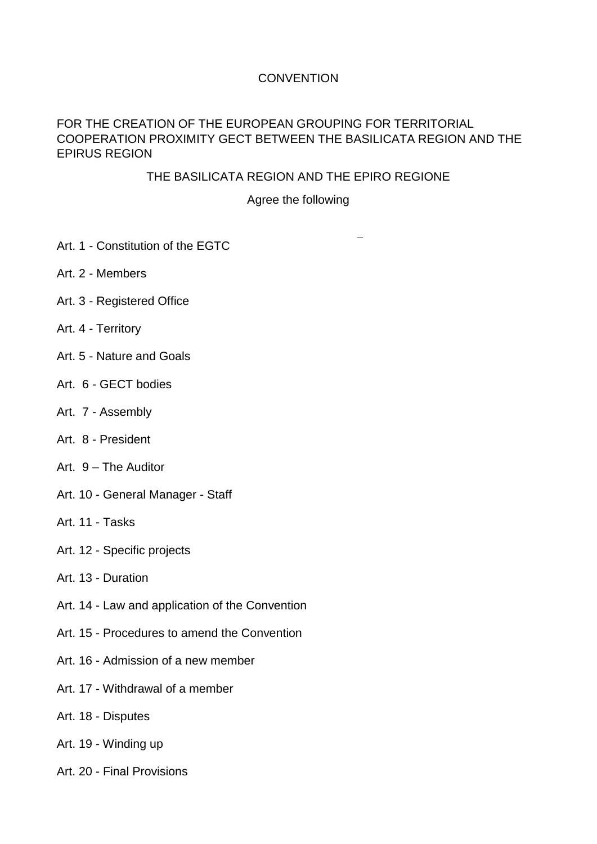# **CONVENTION**

### FOR THE CREATION OF THE EUROPEAN GROUPING FOR TERRITORIAL COOPERATION PROXIMITY GECT BETWEEN THE BASILICATA REGION AND THE EPIRUS REGION

### THE BASILICATA REGION AND THE EPIRO REGIONE

### Agree the following

 $\overline{\phantom{a}}$ 

- Art. 1 Constitution of the EGTC
- Art. 2 Members
- Art. 3 Registered Office
- Art. 4 Territory
- Art. 5 Nature and Goals
- Art. 6 GECT bodies
- Art. 7 Assembly
- Art. 8 President
- Art. 9 The Auditor
- Art. 10 General Manager Staff
- Art. 11 Tasks
- Art. 12 Specific projects
- Art. 13 Duration
- Art. 14 Law and application of the Convention
- Art. 15 Procedures to amend the Convention
- Art. 16 Admission of a new member
- Art. 17 Withdrawal of a member
- Art. 18 Disputes
- Art. 19 Winding up
- Art. 20 Final Provisions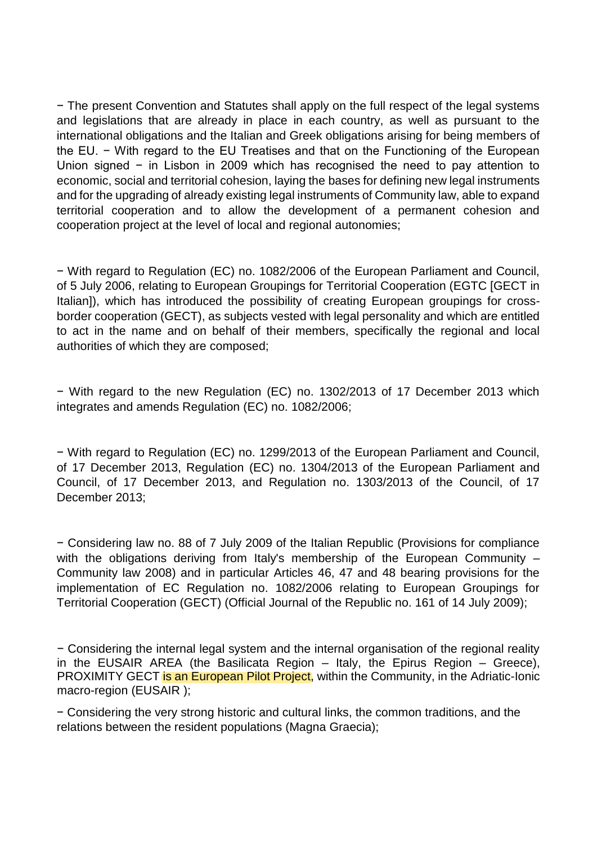− The present Convention and Statutes shall apply on the full respect of the legal systems and legislations that are already in place in each country, as well as pursuant to the international obligations and the Italian and Greek obligations arising for being members of the EU. − With regard to the EU Treatises and that on the Functioning of the European Union signed − in Lisbon in 2009 which has recognised the need to pay attention to economic, social and territorial cohesion, laying the bases for defining new legal instruments and for the upgrading of already existing legal instruments of Community law, able to expand territorial cooperation and to allow the development of a permanent cohesion and cooperation project at the level of local and regional autonomies;

− With regard to Regulation (EC) no. 1082/2006 of the European Parliament and Council, of 5 July 2006, relating to European Groupings for Territorial Cooperation (EGTC [GECT in Italian]), which has introduced the possibility of creating European groupings for crossborder cooperation (GECT), as subjects vested with legal personality and which are entitled to act in the name and on behalf of their members, specifically the regional and local authorities of which they are composed;

− With regard to the new Regulation (EC) no. 1302/2013 of 17 December 2013 which integrates and amends Regulation (EC) no. 1082/2006;

− With regard to Regulation (EC) no. 1299/2013 of the European Parliament and Council, of 17 December 2013, Regulation (EC) no. 1304/2013 of the European Parliament and Council, of 17 December 2013, and Regulation no. 1303/2013 of the Council, of 17 December 2013;

− Considering law no. 88 of 7 July 2009 of the Italian Republic (Provisions for compliance with the obligations deriving from Italy's membership of the European Community – Community law 2008) and in particular Articles 46, 47 and 48 bearing provisions for the implementation of EC Regulation no. 1082/2006 relating to European Groupings for Territorial Cooperation (GECT) (Official Journal of the Republic no. 161 of 14 July 2009);

− Considering the internal legal system and the internal organisation of the regional reality in the EUSAIR AREA (the Basilicata Region – Italy, the Epirus Region – Greece), PROXIMITY GECT is an European Pilot Project, within the Community, in the Adriatic-Ionic [macro-region](https://context.reverso.net/traduzione/inglese-italiano/Adriatic-Ionic+macro-region) (EUSAIR );

− Considering the very strong historic and cultural links, the common traditions, and the relations between the resident populations (Magna Graecia);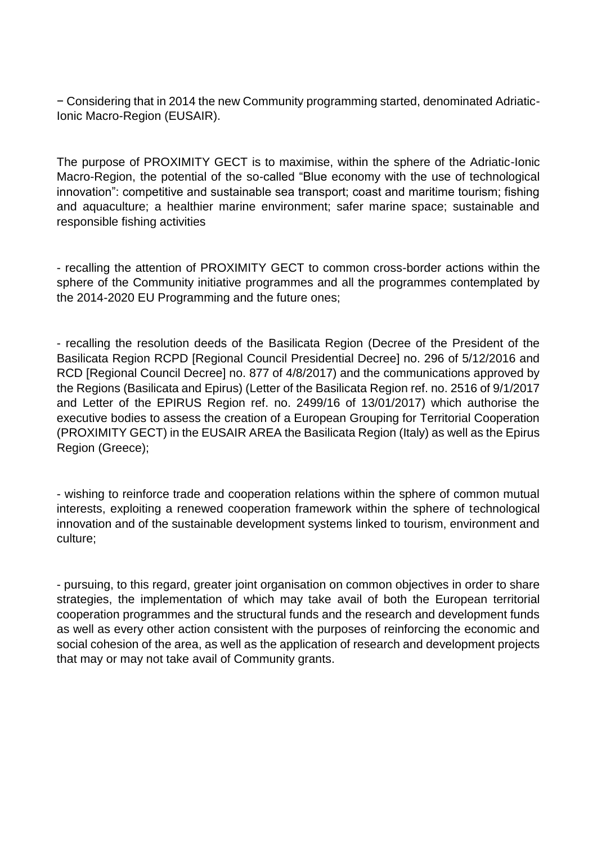− Considering that in 2014 the new Community programming started, denominated Adriatic-Ionic Macro-Region (EUSAIR).

The purpose of PROXIMITY GECT is to maximise, within the sphere of the Adriatic-Ionic Macro-Region, the potential of the so-called "Blue economy with the use of technological innovation": competitive and sustainable sea transport; coast and maritime tourism; fishing and aquaculture; a healthier marine environment; safer marine space; sustainable and responsible fishing activities

- recalling the attention of PROXIMITY GECT to common cross-border actions within the sphere of the Community initiative programmes and all the programmes contemplated by the 2014-2020 EU Programming and the future ones;

- recalling the resolution deeds of the Basilicata Region (Decree of the President of the Basilicata Region RCPD [Regional Council Presidential Decree] no. 296 of 5/12/2016 and RCD [Regional Council Decree] no. 877 of 4/8/2017) and the communications approved by the Regions (Basilicata and Epirus) (Letter of the Basilicata Region ref. no. 2516 of 9/1/2017 and Letter of the EPIRUS Region ref. no. 2499/16 of 13/01/2017) which authorise the executive bodies to assess the creation of a European Grouping for Territorial Cooperation (PROXIMITY GECT) in the EUSAIR AREA the Basilicata Region (Italy) as well as the Epirus Region (Greece);

- wishing to reinforce trade and cooperation relations within the sphere of common mutual interests, exploiting a renewed cooperation framework within the sphere of technological innovation and of the sustainable development systems linked to tourism, environment and culture;

- pursuing, to this regard, greater joint organisation on common objectives in order to share strategies, the implementation of which may take avail of both the European territorial cooperation programmes and the structural funds and the research and development funds as well as every other action consistent with the purposes of reinforcing the economic and social cohesion of the area, as well as the application of research and development projects that may or may not take avail of Community grants.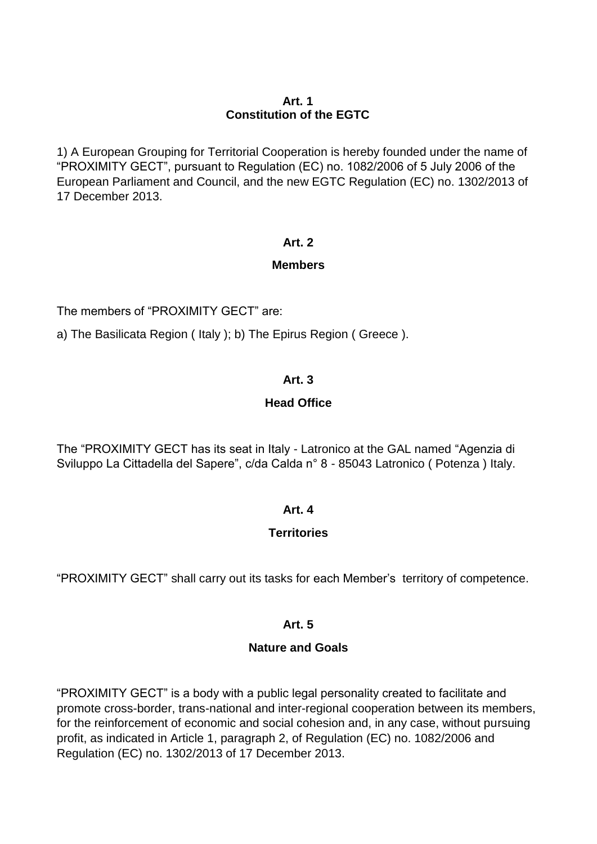### **Art. 1 Constitution of the EGTC**

1) A European Grouping for Territorial Cooperation is hereby founded under the name of "PROXIMITY GECT", pursuant to Regulation (EC) no. 1082/2006 of 5 July 2006 of the European Parliament and Council, and the new EGTC Regulation (EC) no. 1302/2013 of 17 December 2013.

### **Art. 2**

# **Members**

The members of "PROXIMITY GECT" are:

a) The Basilicata Region ( Italy ); b) The Epirus Region ( Greece ).

# **Art. 3**

# **Head Office**

The "PROXIMITY GECT has its seat in Italy - Latronico at the GAL named "Agenzia di Sviluppo La Cittadella del Sapere", c/da Calda n° 8 - 85043 Latronico ( Potenza ) Italy.

# **Art. 4**

# **Territories**

"PROXIMITY GECT" shall carry out its tasks for each Member's territory of competence.

# **Art. 5**

# **Nature and Goals**

"PROXIMITY GECT" is a body with a public legal personality created to facilitate and promote cross-border, trans-national and inter-regional cooperation between its members, for the reinforcement of economic and social cohesion and, in any case, without pursuing profit, as indicated in Article 1, paragraph 2, of Regulation (EC) no. 1082/2006 and Regulation (EC) no. 1302/2013 of 17 December 2013.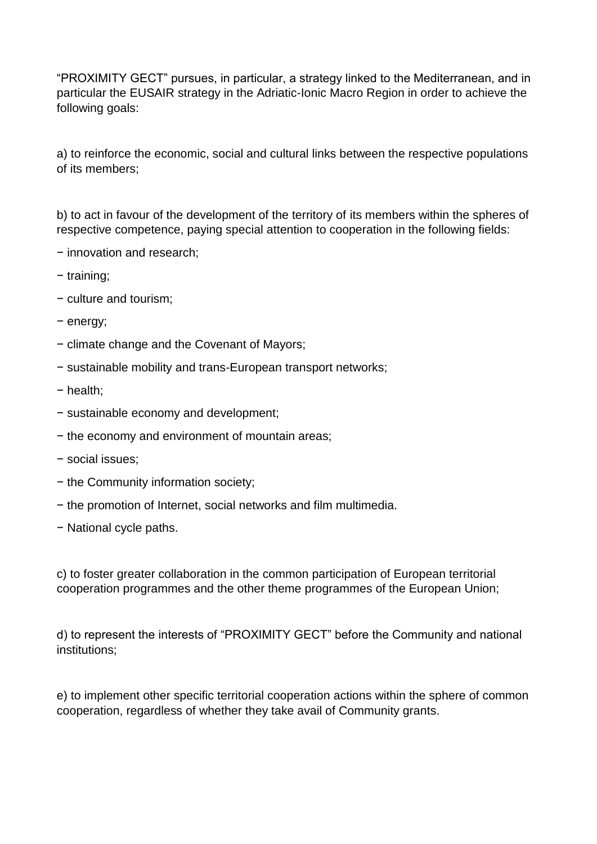"PROXIMITY GECT" pursues, in particular, a strategy linked to the Mediterranean, and in particular the EUSAIR strategy in the Adriatic-Ionic Macro Region in order to achieve the following goals:

a) to reinforce the economic, social and cultural links between the respective populations of its members;

b) to act in favour of the development of the territory of its members within the spheres of respective competence, paying special attention to cooperation in the following fields:

- − innovation and research;
- − training;
- − culture and tourism;
- − energy;
- − climate change and the Covenant of Mayors;
- − sustainable mobility and trans-European transport networks;
- − health;
- − sustainable economy and development;
- − the economy and environment of mountain areas;
- − social issues;
- − the Community information society;
- − the promotion of Internet, social networks and film multimedia.
- − National cycle paths.

c) to foster greater collaboration in the common participation of European territorial cooperation programmes and the other theme programmes of the European Union;

d) to represent the interests of "PROXIMITY GECT" before the Community and national institutions;

e) to implement other specific territorial cooperation actions within the sphere of common cooperation, regardless of whether they take avail of Community grants.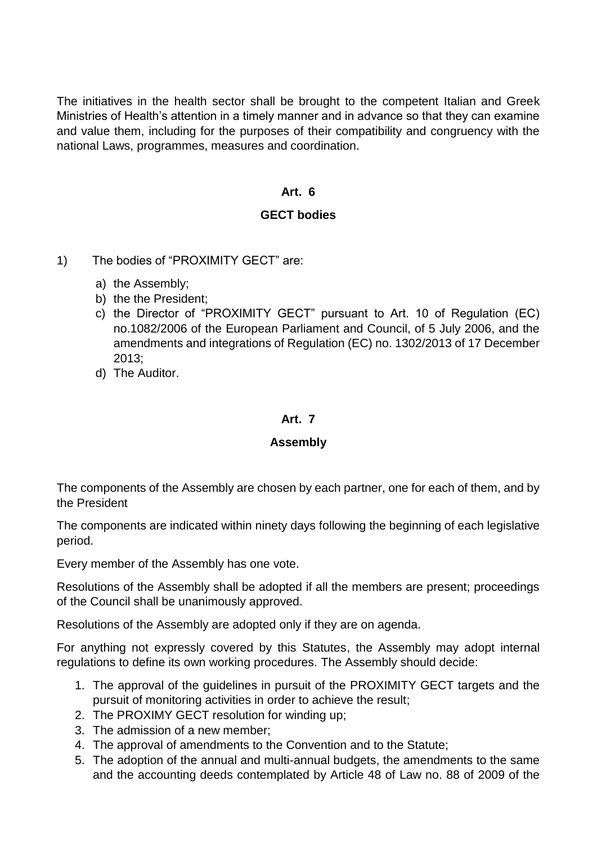The initiatives in the health sector shall be brought to the competent Italian and Greek Ministries of Health's attention in a timely manner and in advance so that they can examine and value them, including for the purposes of their compatibility and congruency with the national Laws, programmes, measures and coordination.

#### **Art. 6**

### **GECT bodies**

- 1) The bodies of "PROXIMITY GECT" are:
	- a) the Assembly;
	- b) the the President;
	- c) the Director of "PROXIMITY GECT" pursuant to Art. 10 of Regulation (EC) no.1082/2006 of the European Parliament and Council, of 5 July 2006, and the amendments and integrations of Regulation (EC) no. 1302/2013 of 17 December 2013;
	- d) The Auditor.

#### **Art. 7**

#### **Assembly**

The components of the Assembly are chosen by each partner, one for each of them, and by the President

The components are indicated within ninety days following the beginning of each legislative period.

Every member of the Assembly has one vote.

Resolutions of the Assembly shall be adopted if all the members are present; proceedings of the Council shall be unanimously approved.

Resolutions of the Assembly are adopted only if they are on agenda.

For anything not expressly covered by this Statutes, the Assembly may adopt internal regulations to define its own working procedures. The Assembly should decide:

- 1. The approval of the guidelines in pursuit of the PROXIMITY GECT targets and the pursuit of monitoring activities in order to achieve the result;
- 2. The PROXIMY GECT resolution for winding up;
- 3. The admission of a new member;
- 4. The approval of amendments to the Convention and to the Statute;
- 5. The adoption of the annual and multi-annual budgets, the amendments to the same and the accounting deeds contemplated by Article 48 of Law no. 88 of 2009 of the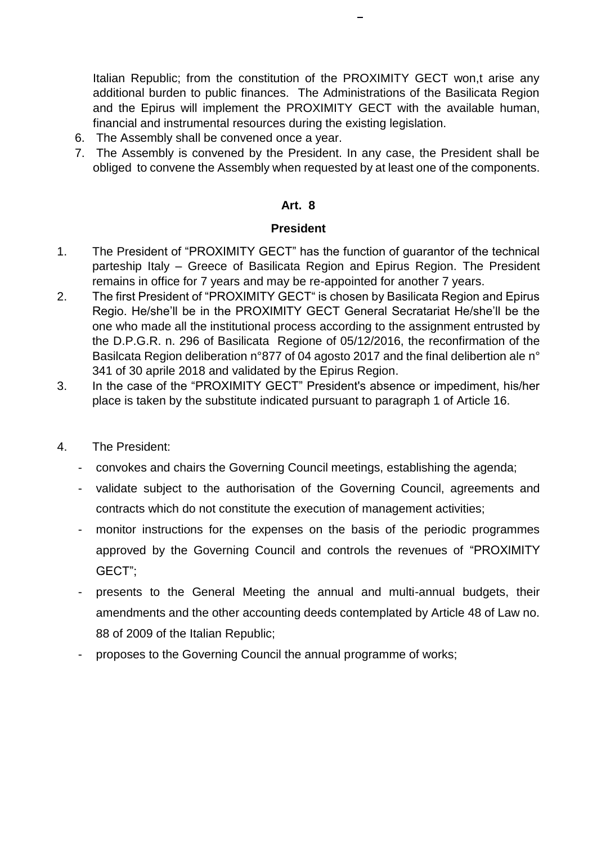Italian Republic; from the constitution of the PROXIMITY GECT won,t arise any additional burden to public finances. The Administrations of the Basilicata Region and the Epirus will implement the PROXIMITY GECT with the available human, financial and instrumental resources during the existing legislation.

- 6. The Assembly shall be convened once a year.
- 7. The Assembly is convened by the President. In any case, the President shall be obliged to convene the Assembly when requested by at least one of the components.

### **Art. 8**

#### **President**

- 1. The President of "PROXIMITY GECT" has the function of guarantor of the technical parteship Italy – Greece of Basilicata Region and Epirus Region. The President remains in office for 7 years and may be re-appointed for another 7 years.
- 2. The first President of "PROXIMITY GECT" is chosen by Basilicata Region and Epirus Regio. He/she'll be in the PROXIMITY GECT General Secratariat He/she'll be the one who made all the institutional process according to the assignment entrusted by the D.P.G.R. n. 296 of Basilicata Regione of 05/12/2016, the reconfirmation of the Basilcata Region deliberation n°877 of 04 agosto 2017 and the final delibertion ale n° 341 of 30 aprile 2018 and validated by the Epirus Region.
- 3. In the case of the "PROXIMITY GECT" President's absence or impediment, his/her place is taken by the substitute indicated pursuant to paragraph 1 of Article 16.
- 4. The President:
	- convokes and chairs the Governing Council meetings, establishing the agenda;
	- validate subject to the authorisation of the Governing Council, agreements and contracts which do not constitute the execution of management activities;
	- monitor instructions for the expenses on the basis of the periodic programmes approved by the Governing Council and controls the revenues of "PROXIMITY GECT";
	- presents to the General Meeting the annual and multi-annual budgets, their amendments and the other accounting deeds contemplated by Article 48 of Law no. 88 of 2009 of the Italian Republic;
	- proposes to the Governing Council the annual programme of works;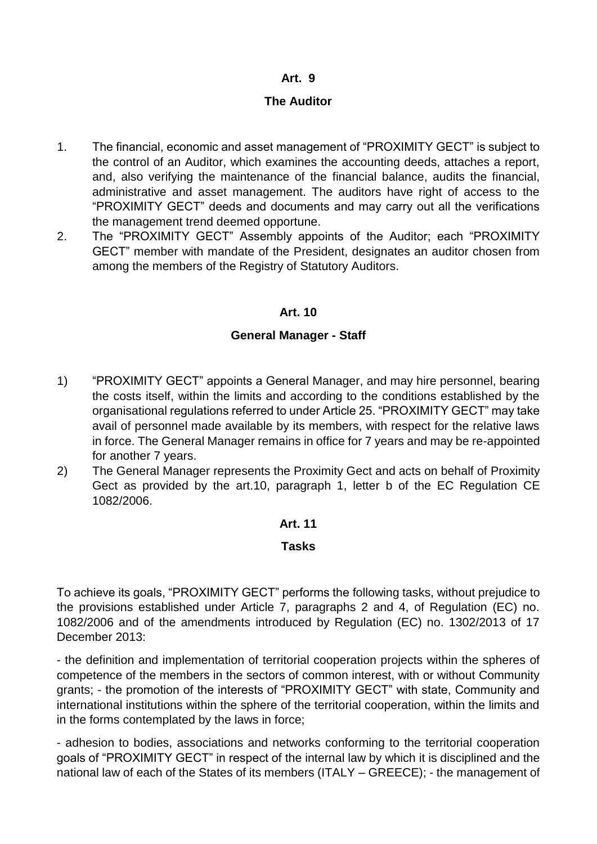# **The Auditor**

- 1. The financial, economic and asset management of "PROXIMITY GECT" is subject to the control of an Auditor, which examines the accounting deeds, attaches a report, and, also verifying the maintenance of the financial balance, audits the financial, administrative and asset management. The auditors have right of access to the "PROXIMITY GECT" deeds and documents and may carry out all the verifications the management trend deemed opportune.
- 2. The "PROXIMITY GECT" Assembly appoints of the Auditor; each "PROXIMITY GECT" member with mandate of the President, designates an auditor chosen from among the members of the Registry of Statutory Auditors.

### **Art. 10**

### **General Manager - Staff**

- 1) "PROXIMITY GECT" appoints a General Manager, and may hire personnel, bearing the costs itself, within the limits and according to the conditions established by the organisational regulations referred to under Article 25. "PROXIMITY GECT" may take avail of personnel made available by its members, with respect for the relative laws in force. The General Manager remains in office for 7 years and may be re-appointed for another 7 years.
- 2) The General Manager represents the Proximity Gect and acts on behalf of Proximity Gect as provided by the art.10, paragraph 1, letter b of the EC Regulation CE 1082/2006.

### **Art. 11**

### **Tasks**

To achieve its goals, "PROXIMITY GECT" performs the following tasks, without prejudice to the provisions established under Article 7, paragraphs 2 and 4, of Regulation (EC) no. 1082/2006 and of the amendments introduced by Regulation (EC) no. 1302/2013 of 17 December 2013:

- the definition and implementation of territorial cooperation projects within the spheres of competence of the members in the sectors of common interest, with or without Community grants; - the promotion of the interests of "PROXIMITY GECT" with state, Community and international institutions within the sphere of the territorial cooperation, within the limits and in the forms contemplated by the laws in force;

- adhesion to bodies, associations and networks conforming to the territorial cooperation goals of "PROXIMITY GECT" in respect of the internal law by which it is disciplined and the national law of each of the States of its members (ITALY – GREECE); - the management of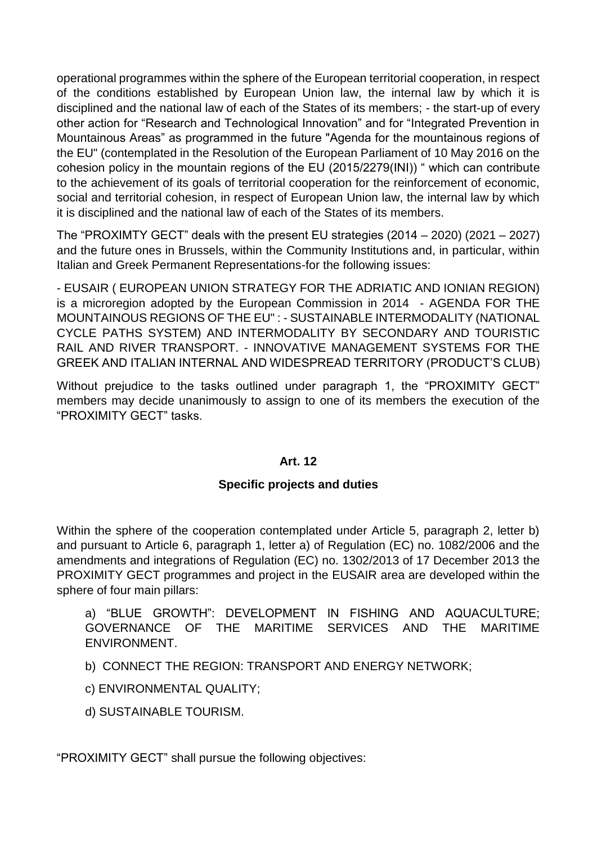operational programmes within the sphere of the European territorial cooperation, in respect of the conditions established by European Union law, the internal law by which it is disciplined and the national law of each of the States of its members; - the start-up of every other action for "Research and Technological Innovation" and for "Integrated Prevention in Mountainous Areas" as programmed in the future "Agenda for the mountainous regions of the EU" (contemplated in the Resolution of the European Parliament of 10 May 2016 on the cohesion policy in the mountain regions of the EU (2015/2279(INI)) " which can contribute to the achievement of its goals of territorial cooperation for the reinforcement of economic, social and territorial cohesion, in respect of European Union law, the internal law by which it is disciplined and the national law of each of the States of its members.

The "PROXIMTY GECT" deals with the present EU strategies (2014 – 2020) (2021 – 2027) and the future ones in Brussels, within the Community Institutions and, in particular, within Italian and Greek Permanent Representations-for the following issues:

- EUSAIR ( EUROPEAN UNION STRATEGY FOR THE ADRIATIC AND IONIAN REGION) is a microregion adopted by the European Commission in 2014 - AGENDA FOR THE MOUNTAINOUS REGIONS OF THE EU" : - SUSTAINABLE INTERMODALITY (NATIONAL CYCLE PATHS SYSTEM) AND INTERMODALITY BY SECONDARY AND TOURISTIC RAIL AND RIVER TRANSPORT. - INNOVATIVE MANAGEMENT SYSTEMS FOR THE GREEK AND ITALIAN INTERNAL AND WIDESPREAD TERRITORY (PRODUCT'S CLUB)

Without prejudice to the tasks outlined under paragraph 1, the "PROXIMITY GECT" members may decide unanimously to assign to one of its members the execution of the "PROXIMITY GECT" tasks.

### **Art. 12**

# **Specific projects and duties**

Within the sphere of the cooperation contemplated under Article 5, paragraph 2, letter b) and pursuant to Article 6, paragraph 1, letter a) of Regulation (EC) no. 1082/2006 and the amendments and integrations of Regulation (EC) no. 1302/2013 of 17 December 2013 the PROXIMITY GECT programmes and project in the EUSAIR area are developed within the sphere of four main pillars:

a) "BLUE GROWTH": DEVELOPMENT IN FISHING AND AQUACULTURE; GOVERNANCE OF THE MARITIME SERVICES AND THE MARITIME ENVIRONMENT.

b) CONNECT THE REGION: TRANSPORT AND ENERGY NETWORK;

c) ENVIRONMENTAL QUALITY;

d) SUSTAINABLE TOURISM.

"PROXIMITY GECT" shall pursue the following objectives: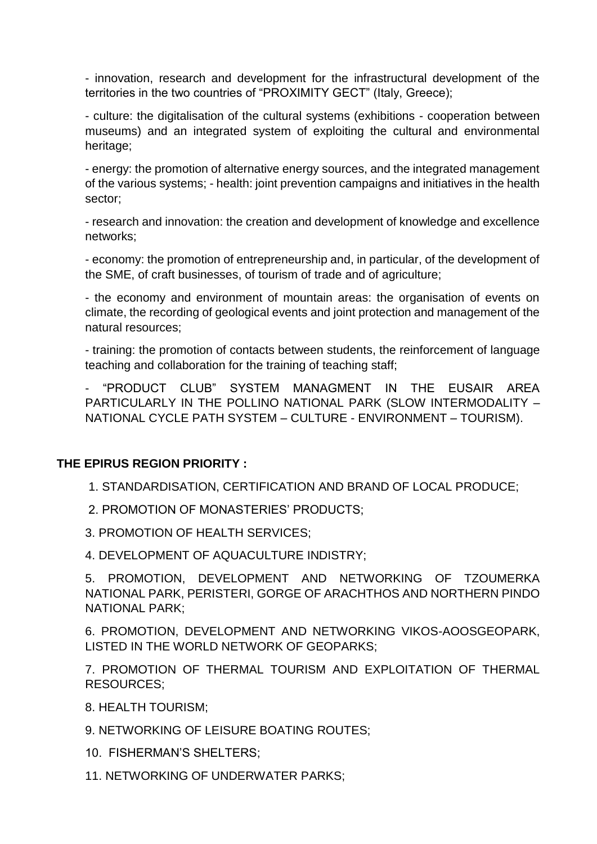- innovation, research and development for the infrastructural development of the territories in the two countries of "PROXIMITY GECT" (Italy, Greece);

- culture: the digitalisation of the cultural systems (exhibitions - cooperation between museums) and an integrated system of exploiting the cultural and environmental heritage;

- energy: the promotion of alternative energy sources, and the integrated management of the various systems; - health: joint prevention campaigns and initiatives in the health sector;

- research and innovation: the creation and development of knowledge and excellence networks;

- economy: the promotion of entrepreneurship and, in particular, of the development of the SME, of craft businesses, of tourism of trade and of agriculture;

- the economy and environment of mountain areas: the organisation of events on climate, the recording of geological events and joint protection and management of the natural resources;

- training: the promotion of contacts between students, the reinforcement of language teaching and collaboration for the training of teaching staff;

- "PRODUCT CLUB" SYSTEM MANAGMENT IN THE EUSAIR AREA PARTICULARLY IN THE POLLINO NATIONAL PARK (SLOW INTERMODALITY – NATIONAL CYCLE PATH SYSTEM – CULTURE - ENVIRONMENT – TOURISM).

# **THE EPIRUS REGION PRIORITY :**

1. STANDARDISATION, CERTIFICATION AND BRAND OF LOCAL PRODUCE;

2. PROMOTION OF MONASTERIES' PRODUCTS;

3. PROMOTION OF HEALTH SERVICES;

4. DEVELOPMENT OF AQUACULTURE INDISTRY;

5. PROMOTION, DEVELOPMENT AND NETWORKING OF TZOUMERKA NATIONAL PARK, PERISTERI, GORGE OF ARACHTHOS AND NORTHERN PINDO NATIONAL PARK;

6. PROMOTION, DEVELOPMENT AND NETWORKING VIKOS-AOOSGEOPARK, LISTED IN THE WORLD NETWORK OF GEOPARKS;

7. PROMOTION OF THERMAL TOURISM AND EXPLOITATION OF THERMAL RESOURCES;

8. HEALTH TOURISM;

9. NETWORKING OF LEISURE BOATING ROUTES;

10. FISHERMAN'S SHELTERS;

11. NETWORKING OF UNDERWATER PARKS;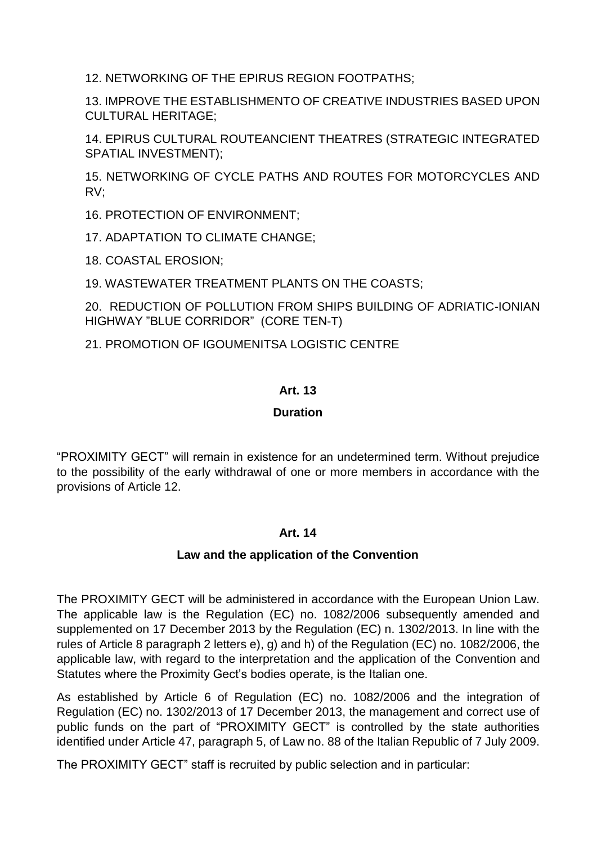12. NETWORKING OF THE EPIRUS REGION FOOTPATHS;

13. IMPROVE THE ESTABLISHMENTO OF CREATIVE INDUSTRIES BASED UPON CULTURAL HERITAGE;

14. EPIRUS CULTURAL ROUTEANCIENT THEATRES (STRATEGIC INTEGRATED SPATIAL INVESTMENT);

15. NETWORKING OF CYCLE PATHS AND ROUTES FOR MOTORCYCLES AND RV;

16. PROTECTION OF ENVIRONMENT;

17. ADAPTATION TO CLIMATE CHANGE;

18. COASTAL EROSION;

19. WASTEWATER TREATMENT PLANTS ON THE COASTS;

20. REDUCTION OF POLLUTION FROM SHIPS BUILDING OF ADRIATIC-IONIAN HIGHWAY "BLUE CORRIDOR" (CORE TEN-T)

21. PROMOTION OF IGOUMENITSA LOGISTIC CENTRE

# **Art. 13**

### **Duration**

"PROXIMITY GECT" will remain in existence for an undetermined term. Without prejudice to the possibility of the early withdrawal of one or more members in accordance with the provisions of Article 12.

### **Art. 14**

### **Law and the application of the Convention**

The PROXIMITY GECT will be administered in accordance with the European Union Law. The applicable law is the Regulation (EC) no. 1082/2006 subsequently amended and supplemented on 17 December 2013 by the Regulation (EC) n. 1302/2013. In line with the rules of Article 8 paragraph 2 letters e), g) and h) of the Regulation (EC) no. 1082/2006, the applicable law, with regard to the interpretation and the application of the Convention and Statutes where the Proximity Gect's bodies operate, is the Italian one.

As established by Article 6 of Regulation (EC) no. 1082/2006 and the integration of Regulation (EC) no. 1302/2013 of 17 December 2013, the management and correct use of public funds on the part of "PROXIMITY GECT" is controlled by the state authorities identified under Article 47, paragraph 5, of Law no. 88 of the Italian Republic of 7 July 2009.

The PROXIMITY GECT" staff is recruited by public selection and in particular: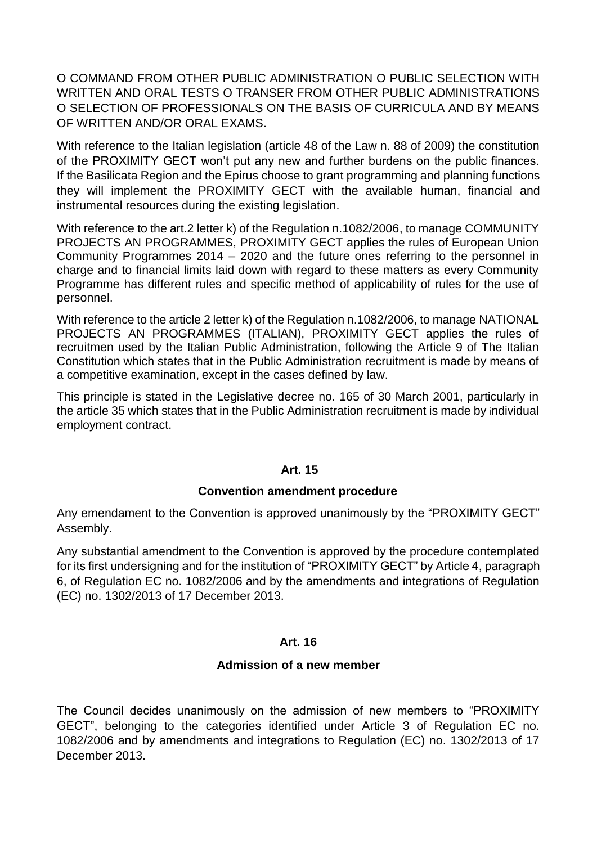O COMMAND FROM OTHER PUBLIC ADMINISTRATION O PUBLIC SELECTION WITH WRITTEN AND ORAL TESTS O TRANSER FROM OTHER PUBLIC ADMINISTRATIONS O SELECTION OF PROFESSIONALS ON THE BASIS OF CURRICULA AND BY MEANS OF WRITTEN AND/OR ORAL EXAMS.

With reference to the Italian legislation (article 48 of the Law n. 88 of 2009) the constitution of the PROXIMITY GECT won't put any new and further burdens on the public finances. If the Basilicata Region and the Epirus choose to grant programming and planning functions they will implement the PROXIMITY GECT with the available human, financial and instrumental resources during the existing legislation.

With reference to the art.2 letter k) of the Regulation n.1082/2006, to manage COMMUNITY PROJECTS AN PROGRAMMES, PROXIMITY GECT applies the rules of European Union Community Programmes 2014 – 2020 and the future ones referring to the personnel in charge and to financial limits laid down with regard to these matters as every Community Programme has different rules and specific method of applicability of rules for the use of personnel.

With reference to the article 2 letter k) of the Regulation n.1082/2006, to manage NATIONAL PROJECTS AN PROGRAMMES (ITALIAN), PROXIMITY GECT applies the rules of recruitmen used by the Italian Public Administration, following the Article 9 of The Italian Constitution which states that in the Public Administration recruitment is made by means of a competitive examination, except in the cases defined by law.

This principle is stated in the Legislative decree no. 165 of 30 March 2001, particularly in the article 35 which states that in the Public Administration recruitment is made by individual employment contract.

### **Art. 15**

#### **Convention amendment procedure**

Any emendament to the Convention is approved unanimously by the "PROXIMITY GECT" Assembly.

Any substantial amendment to the Convention is approved by the procedure contemplated for its first undersigning and for the institution of "PROXIMITY GECT" by Article 4, paragraph 6, of Regulation EC no. 1082/2006 and by the amendments and integrations of Regulation (EC) no. 1302/2013 of 17 December 2013.

#### **Art. 16**

#### **Admission of a new member**

The Council decides unanimously on the admission of new members to "PROXIMITY GECT", belonging to the categories identified under Article 3 of Regulation EC no. 1082/2006 and by amendments and integrations to Regulation (EC) no. 1302/2013 of 17 December 2013.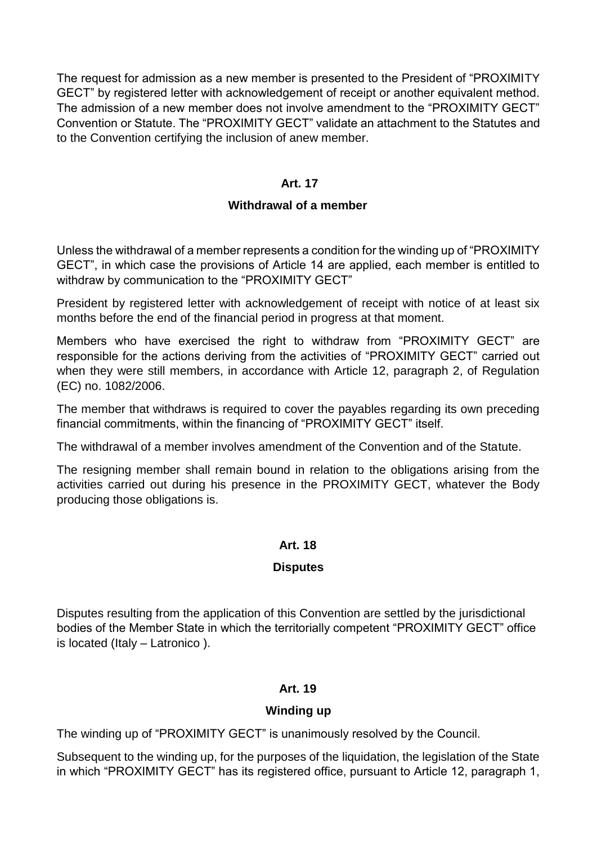The request for admission as a new member is presented to the President of "PROXIMITY GECT" by registered letter with acknowledgement of receipt or another equivalent method. The admission of a new member does not involve amendment to the "PROXIMITY GECT" Convention or Statute. The "PROXIMITY GECT" validate an attachment to the Statutes and to the Convention certifying the inclusion of anew member.

### **Art. 17**

### **Withdrawal of a member**

Unless the withdrawal of a member represents a condition for the winding up of "PROXIMITY GECT", in which case the provisions of Article 14 are applied, each member is entitled to withdraw by communication to the "PROXIMITY GECT"

President by registered letter with acknowledgement of receipt with notice of at least six months before the end of the financial period in progress at that moment.

Members who have exercised the right to withdraw from "PROXIMITY GECT" are responsible for the actions deriving from the activities of "PROXIMITY GECT" carried out when they were still members, in accordance with Article 12, paragraph 2, of Regulation (EC) no. 1082/2006.

The member that withdraws is required to cover the payables regarding its own preceding financial commitments, within the financing of "PROXIMITY GECT" itself.

The withdrawal of a member involves amendment of the Convention and of the Statute.

The resigning member shall remain bound in relation to the obligations arising from the activities carried out during his presence in the PROXIMITY GECT, whatever the Body producing those obligations is.

### **Art. 18**

### **Disputes**

Disputes resulting from the application of this Convention are settled by the jurisdictional bodies of the Member State in which the territorially competent "PROXIMITY GECT" office is located (Italy – Latronico ).

### **Art. 19**

### **Winding up**

The winding up of "PROXIMITY GECT" is unanimously resolved by the Council.

Subsequent to the winding up, for the purposes of the liquidation, the legislation of the State in which "PROXIMITY GECT" has its registered office, pursuant to Article 12, paragraph 1,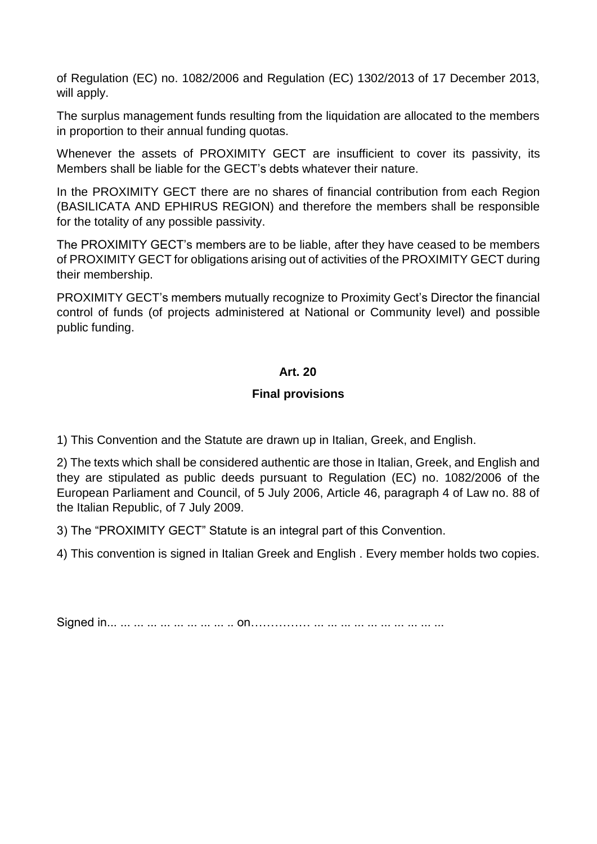of Regulation (EC) no. 1082/2006 and Regulation (EC) 1302/2013 of 17 December 2013, will apply.

The surplus management funds resulting from the liquidation are allocated to the members in proportion to their annual funding quotas.

Whenever the assets of PROXIMITY GECT are insufficient to cover its passivity, its Members shall be liable for the GECT's debts whatever their nature.

In the PROXIMITY GECT there are no shares of financial contribution from each Region (BASILICATA AND EPHIRUS REGION) and therefore the members shall be responsible for the totality of any possible passivity.

The PROXIMITY GECT's members are to be liable, after they have ceased to be members of PROXIMITY GECT for obligations arising out of activities of the PROXIMITY GECT during their membership.

PROXIMITY GECT's members mutually recognize to Proximity Gect's Director the financial control of funds (of projects administered at National or Community level) and possible public funding.

# **Art. 20**

### **Final provisions**

1) This Convention and the Statute are drawn up in Italian, Greek, and English.

2) The texts which shall be considered authentic are those in Italian, Greek, and English and they are stipulated as public deeds pursuant to Regulation (EC) no. 1082/2006 of the European Parliament and Council, of 5 July 2006, Article 46, paragraph 4 of Law no. 88 of the Italian Republic, of 7 July 2009.

3) The "PROXIMITY GECT" Statute is an integral part of this Convention.

4) This convention is signed in Italian Greek and English . Every member holds two copies.

Signed in... ... ... ... ... ... ... ... ... .. on…………… ... ... ... ... ... ... ... ... ... ...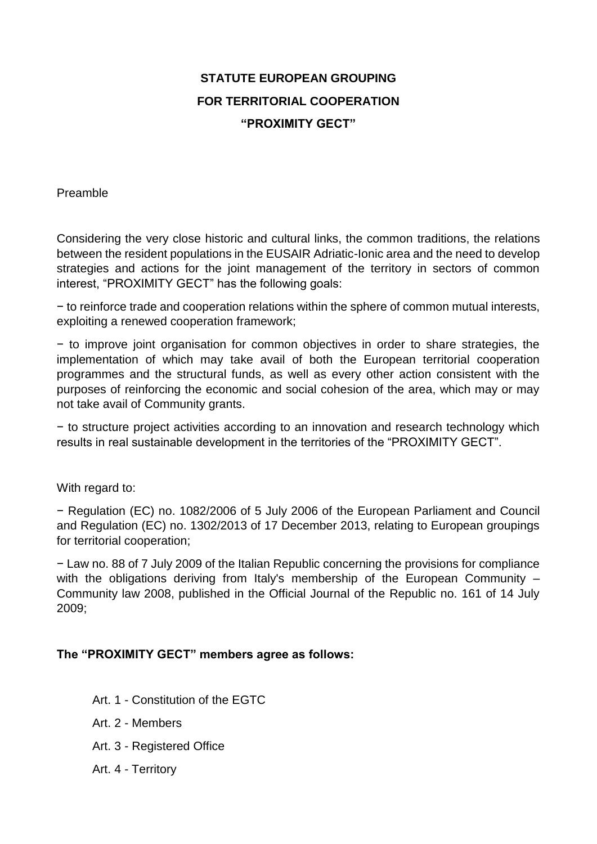# **STATUTE EUROPEAN GROUPING FOR TERRITORIAL COOPERATION "PROXIMITY GECT"**

Preamble

Considering the very close historic and cultural links, the common traditions, the relations between the resident populations in the EUSAIR Adriatic-Ionic area and the need to develop strategies and actions for the joint management of the territory in sectors of common interest, "PROXIMITY GECT" has the following goals:

− to reinforce trade and cooperation relations within the sphere of common mutual interests, exploiting a renewed cooperation framework;

− to improve joint organisation for common objectives in order to share strategies, the implementation of which may take avail of both the European territorial cooperation programmes and the structural funds, as well as every other action consistent with the purposes of reinforcing the economic and social cohesion of the area, which may or may not take avail of Community grants.

− to structure project activities according to an innovation and research technology which results in real sustainable development in the territories of the "PROXIMITY GECT".

With regard to:

− Regulation (EC) no. 1082/2006 of 5 July 2006 of the European Parliament and Council and Regulation (EC) no. 1302/2013 of 17 December 2013, relating to European groupings for territorial cooperation;

− Law no. 88 of 7 July 2009 of the Italian Republic concerning the provisions for compliance with the obligations deriving from Italy's membership of the European Community – Community law 2008, published in the Official Journal of the Republic no. 161 of 14 July 2009;

### **The "PROXIMITY GECT" members agree as follows:**

- Art. 1 Constitution of the EGTC
- Art. 2 Members
- Art. 3 Registered Office
- Art. 4 Territory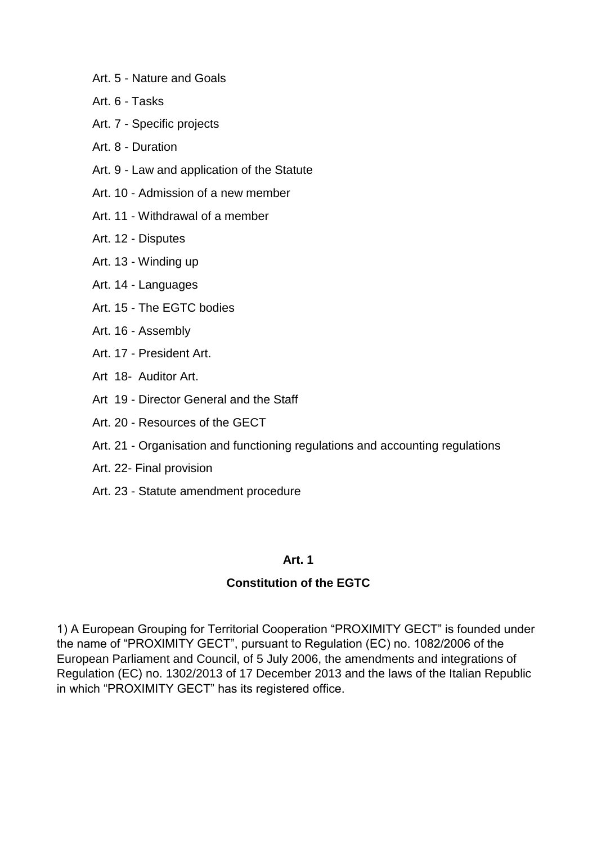- Art. 5 Nature and Goals
- Art. 6 Tasks
- Art. 7 Specific projects
- Art. 8 Duration
- Art. 9 Law and application of the Statute
- Art. 10 Admission of a new member
- Art. 11 Withdrawal of a member
- Art. 12 Disputes
- Art. 13 Winding up
- Art. 14 Languages
- Art. 15 The EGTC bodies
- Art. 16 Assembly
- Art. 17 President Art.
- Art 18- Auditor Art.
- Art 19 Director General and the Staff
- Art. 20 Resources of the GECT
- Art. 21 Organisation and functioning regulations and accounting regulations
- Art. 22- Final provision
- Art. 23 Statute amendment procedure

### **Constitution of the EGTC**

1) A European Grouping for Territorial Cooperation "PROXIMITY GECT" is founded under the name of "PROXIMITY GECT", pursuant to Regulation (EC) no. 1082/2006 of the European Parliament and Council, of 5 July 2006, the amendments and integrations of Regulation (EC) no. 1302/2013 of 17 December 2013 and the laws of the Italian Republic in which "PROXIMITY GECT" has its registered office.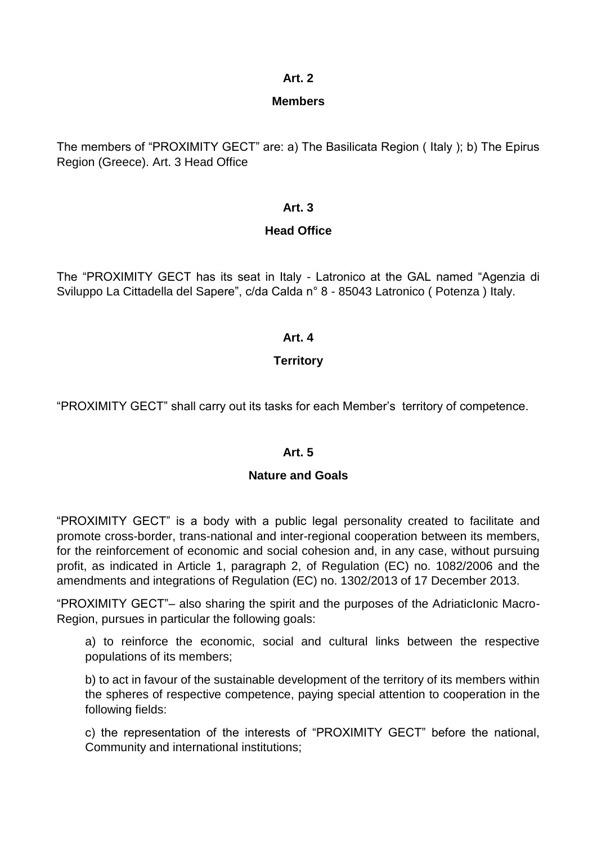### **Members**

The members of "PROXIMITY GECT" are: a) The Basilicata Region ( Italy ); b) The Epirus Region (Greece). Art. 3 Head Office

### **Art. 3**

# **Head Office**

The "PROXIMITY GECT has its seat in Italy - Latronico at the GAL named "Agenzia di Sviluppo La Cittadella del Sapere", c/da Calda n° 8 - 85043 Latronico ( Potenza ) Italy.

# **Art. 4**

# **Territory**

"PROXIMITY GECT" shall carry out its tasks for each Member's territory of competence.

### **Art. 5**

### **Nature and Goals**

"PROXIMITY GECT" is a body with a public legal personality created to facilitate and promote cross-border, trans-national and inter-regional cooperation between its members, for the reinforcement of economic and social cohesion and, in any case, without pursuing profit, as indicated in Article 1, paragraph 2, of Regulation (EC) no. 1082/2006 and the amendments and integrations of Regulation (EC) no. 1302/2013 of 17 December 2013.

"PROXIMITY GECT"– also sharing the spirit and the purposes of the AdriaticIonic Macro-Region, pursues in particular the following goals:

a) to reinforce the economic, social and cultural links between the respective populations of its members;

b) to act in favour of the sustainable development of the territory of its members within the spheres of respective competence, paying special attention to cooperation in the following fields:

c) the representation of the interests of "PROXIMITY GECT" before the national, Community and international institutions;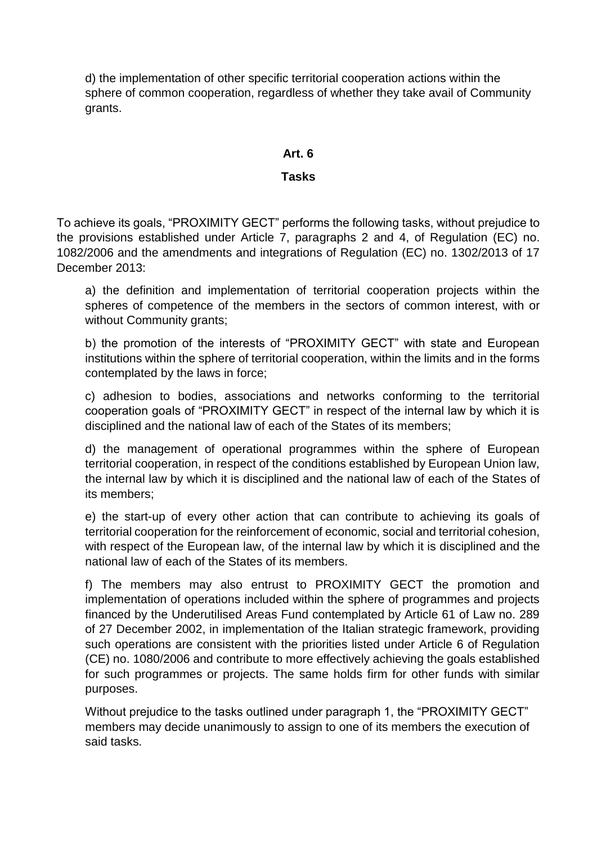d) the implementation of other specific territorial cooperation actions within the sphere of common cooperation, regardless of whether they take avail of Community grants.

### **Art. 6**

### **Tasks**

To achieve its goals, "PROXIMITY GECT" performs the following tasks, without prejudice to the provisions established under Article 7, paragraphs 2 and 4, of Regulation (EC) no. 1082/2006 and the amendments and integrations of Regulation (EC) no. 1302/2013 of 17 December 2013:

a) the definition and implementation of territorial cooperation projects within the spheres of competence of the members in the sectors of common interest, with or without Community grants;

b) the promotion of the interests of "PROXIMITY GECT" with state and European institutions within the sphere of territorial cooperation, within the limits and in the forms contemplated by the laws in force;

c) adhesion to bodies, associations and networks conforming to the territorial cooperation goals of "PROXIMITY GECT" in respect of the internal law by which it is disciplined and the national law of each of the States of its members;

d) the management of operational programmes within the sphere of European territorial cooperation, in respect of the conditions established by European Union law, the internal law by which it is disciplined and the national law of each of the States of its members;

e) the start-up of every other action that can contribute to achieving its goals of territorial cooperation for the reinforcement of economic, social and territorial cohesion, with respect of the European law, of the internal law by which it is disciplined and the national law of each of the States of its members.

f) The members may also entrust to PROXIMITY GECT the promotion and implementation of operations included within the sphere of programmes and projects financed by the Underutilised Areas Fund contemplated by Article 61 of Law no. 289 of 27 December 2002, in implementation of the Italian strategic framework, providing such operations are consistent with the priorities listed under Article 6 of Regulation (CE) no. 1080/2006 and contribute to more effectively achieving the goals established for such programmes or projects. The same holds firm for other funds with similar purposes.

Without prejudice to the tasks outlined under paragraph 1, the "PROXIMITY GECT" members may decide unanimously to assign to one of its members the execution of said tasks.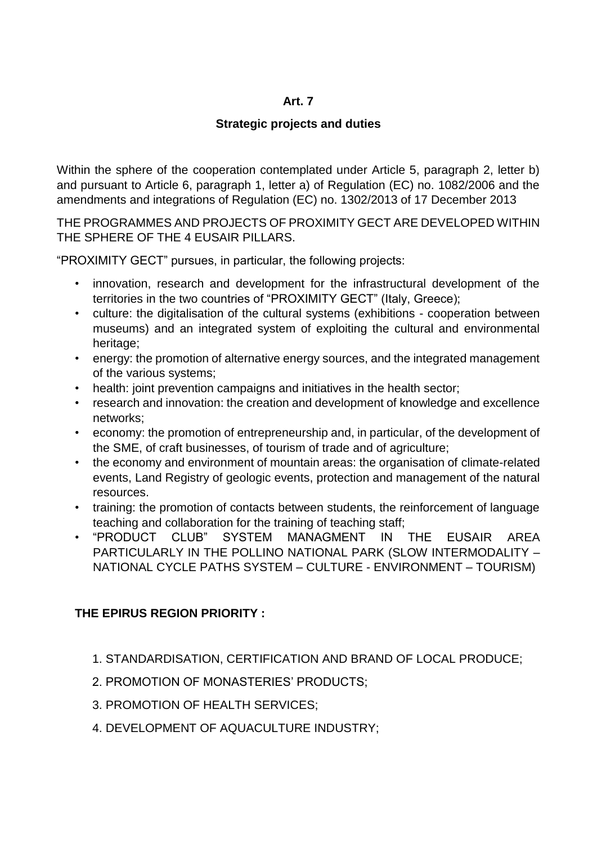# **Strategic projects and duties**

Within the sphere of the cooperation contemplated under Article 5, paragraph 2, letter b) and pursuant to Article 6, paragraph 1, letter a) of Regulation (EC) no. 1082/2006 and the amendments and integrations of Regulation (EC) no. 1302/2013 of 17 December 2013

THE PROGRAMMES AND PROJECTS OF PROXIMITY GECT ARE DEVELOPED WITHIN THE SPHERE OF THE 4 EUSAIR PILLARS.

"PROXIMITY GECT" pursues, in particular, the following projects:

- innovation, research and development for the infrastructural development of the territories in the two countries of "PROXIMITY GECT" (Italy, Greece);
- culture: the digitalisation of the cultural systems (exhibitions cooperation between museums) and an integrated system of exploiting the cultural and environmental heritage;
- energy: the promotion of alternative energy sources, and the integrated management of the various systems;
- health: joint prevention campaigns and initiatives in the health sector;
- research and innovation: the creation and development of knowledge and excellence networks;
- economy: the promotion of entrepreneurship and, in particular, of the development of the SME, of craft businesses, of tourism of trade and of agriculture;
- the economy and environment of mountain areas: the organisation of climate-related events, Land Registry of geologic events, protection and management of the natural resources.
- training: the promotion of contacts between students, the reinforcement of language teaching and collaboration for the training of teaching staff;
- "PRODUCT CLUB" SYSTEM MANAGMENT IN THE EUSAIR AREA PARTICULARLY IN THE POLLINO NATIONAL PARK (SLOW INTERMODALITY – NATIONAL CYCLE PATHS SYSTEM – CULTURE - ENVIRONMENT – TOURISM)

# **THE EPIRUS REGION PRIORITY :**

- 1. STANDARDISATION, CERTIFICATION AND BRAND OF LOCAL PRODUCE;
- 2. PROMOTION OF MONASTERIES' PRODUCTS;
- 3. PROMOTION OF HEALTH SERVICES;
- 4. DEVELOPMENT OF AQUACULTURE INDUSTRY;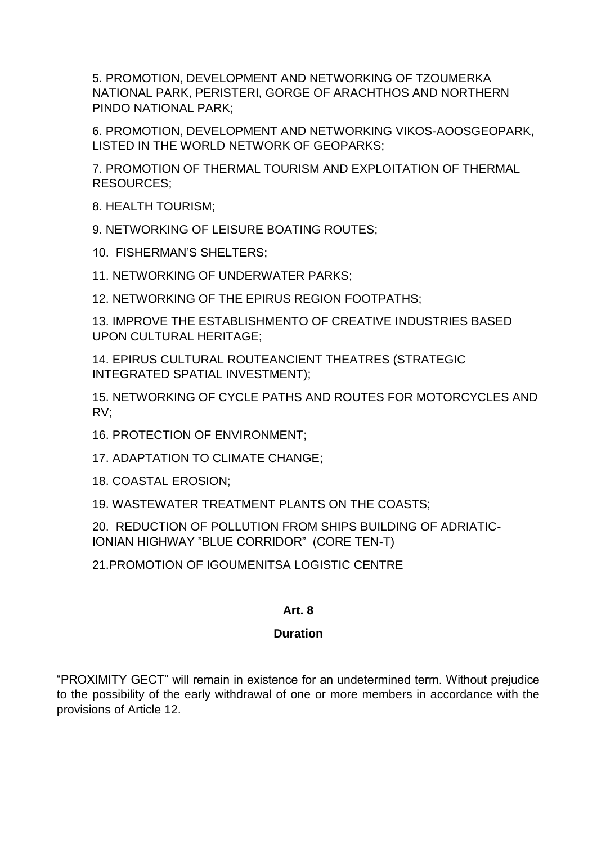5. PROMOTION, DEVELOPMENT AND NETWORKING OF TZOUMERKA NATIONAL PARK, PERISTERI, GORGE OF ARACHTHOS AND NORTHERN PINDO NATIONAL PARK;

6. PROMOTION, DEVELOPMENT AND NETWORKING VIKOS-AOOSGEOPARK, LISTED IN THE WORLD NETWORK OF GEOPARKS;

7. PROMOTION OF THERMAL TOURISM AND EXPLOITATION OF THERMAL RESOURCES;

8. HEALTH TOURISM;

9. NETWORKING OF LEISURE BOATING ROUTES;

10. FISHERMAN'S SHELTERS;

11. NETWORKING OF UNDERWATER PARKS;

12. NETWORKING OF THE EPIRUS REGION FOOTPATHS;

13. IMPROVE THE ESTABLISHMENTO OF CREATIVE INDUSTRIES BASED UPON CULTURAL HERITAGE;

14. EPIRUS CULTURAL ROUTEANCIENT THEATRES (STRATEGIC INTEGRATED SPATIAL INVESTMENT);

15. NETWORKING OF CYCLE PATHS AND ROUTES FOR MOTORCYCLES AND RV;

16. PROTECTION OF ENVIRONMENT;

17. ADAPTATION TO CLIMATE CHANGE;

18. COASTAL EROSION;

19. WASTEWATER TREATMENT PLANTS ON THE COASTS;

20. REDUCTION OF POLLUTION FROM SHIPS BUILDING OF ADRIATIC-IONIAN HIGHWAY "BLUE CORRIDOR" (CORE TEN-T)

21.PROMOTION OF IGOUMENITSA LOGISTIC CENTRE

# **Art. 8**

# **Duration**

"PROXIMITY GECT" will remain in existence for an undetermined term. Without prejudice to the possibility of the early withdrawal of one or more members in accordance with the provisions of Article 12.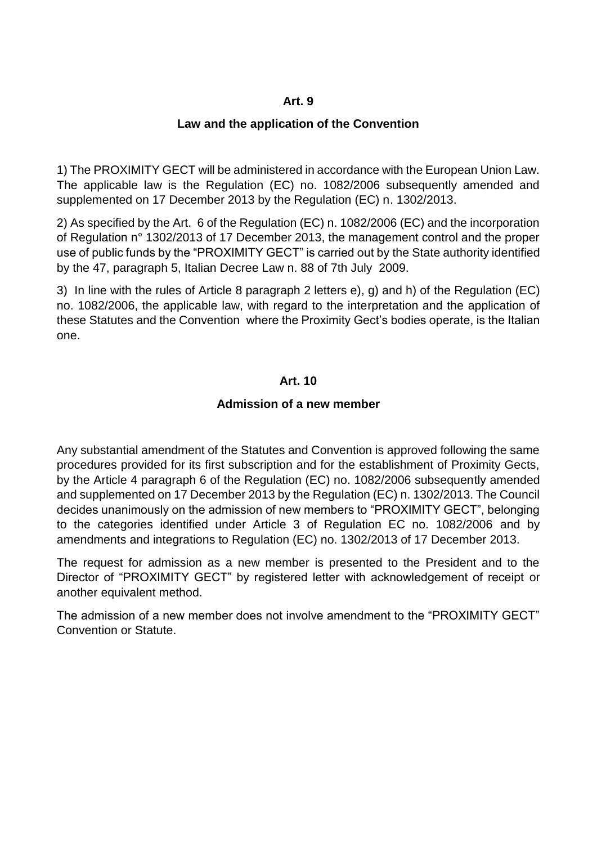#### **Law and the application of the Convention**

1) The PROXIMITY GECT will be administered in accordance with the European Union Law. The applicable law is the Regulation (EC) no. 1082/2006 subsequently amended and supplemented on 17 December 2013 by the Regulation (EC) n. 1302/2013.

2) As specified by the Art. 6 of the Regulation (EC) n. 1082/2006 (EC) and the incorporation of Regulation n° 1302/2013 of 17 December 2013, the management control and the proper use of public funds by the "PROXIMITY GECT" is carried out by the State authority identified by the 47, paragraph 5, Italian Decree Law n. 88 of 7th July 2009.

3) In line with the rules of Article 8 paragraph 2 letters e), g) and h) of the Regulation (EC) no. 1082/2006, the applicable law, with regard to the interpretation and the application of these Statutes and the Convention where the Proximity Gect's bodies operate, is the Italian one.

#### **Art. 10**

#### **Admission of a new member**

Any substantial amendment of the Statutes and Convention is approved following the same procedures provided for its first subscription and for the establishment of Proximity Gects, by the Article 4 paragraph 6 of the Regulation (EC) no. 1082/2006 subsequently amended and supplemented on 17 December 2013 by the Regulation (EC) n. 1302/2013. The Council decides unanimously on the admission of new members to "PROXIMITY GECT", belonging to the categories identified under Article 3 of Regulation EC no. 1082/2006 and by amendments and integrations to Regulation (EC) no. 1302/2013 of 17 December 2013.

The request for admission as a new member is presented to the President and to the Director of "PROXIMITY GECT" by registered letter with acknowledgement of receipt or another equivalent method.

The admission of a new member does not involve amendment to the "PROXIMITY GECT" Convention or Statute.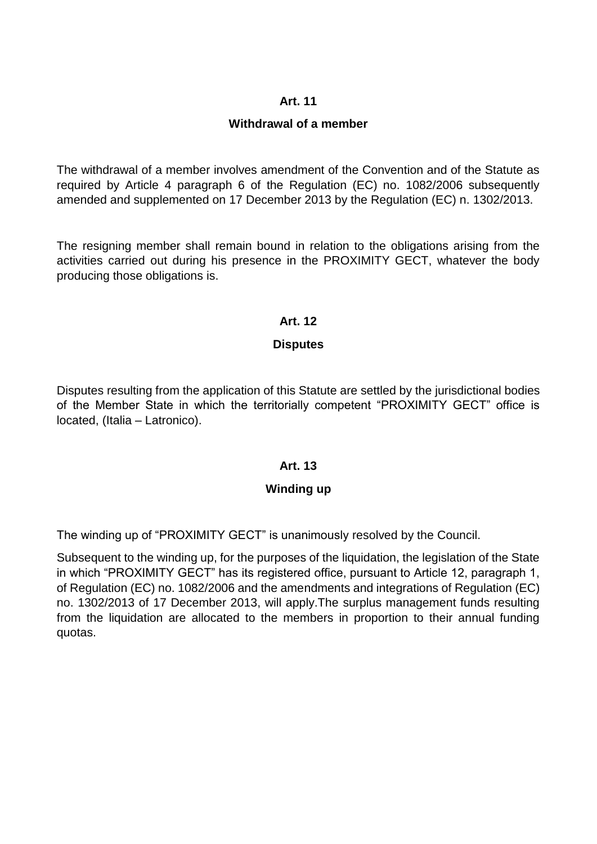### **Withdrawal of a member**

The withdrawal of a member involves amendment of the Convention and of the Statute as required by Article 4 paragraph 6 of the Regulation (EC) no. 1082/2006 subsequently amended and supplemented on 17 December 2013 by the Regulation (EC) n. 1302/2013.

The resigning member shall remain bound in relation to the obligations arising from the activities carried out during his presence in the PROXIMITY GECT, whatever the body producing those obligations is.

### **Art. 12**

# **Disputes**

Disputes resulting from the application of this Statute are settled by the jurisdictional bodies of the Member State in which the territorially competent "PROXIMITY GECT" office is located, (Italia – Latronico).

### **Art. 13**

### **Winding up**

The winding up of "PROXIMITY GECT" is unanimously resolved by the Council.

Subsequent to the winding up, for the purposes of the liquidation, the legislation of the State in which "PROXIMITY GECT" has its registered office, pursuant to Article 12, paragraph 1, of Regulation (EC) no. 1082/2006 and the amendments and integrations of Regulation (EC) no. 1302/2013 of 17 December 2013, will apply.The surplus management funds resulting from the liquidation are allocated to the members in proportion to their annual funding quotas.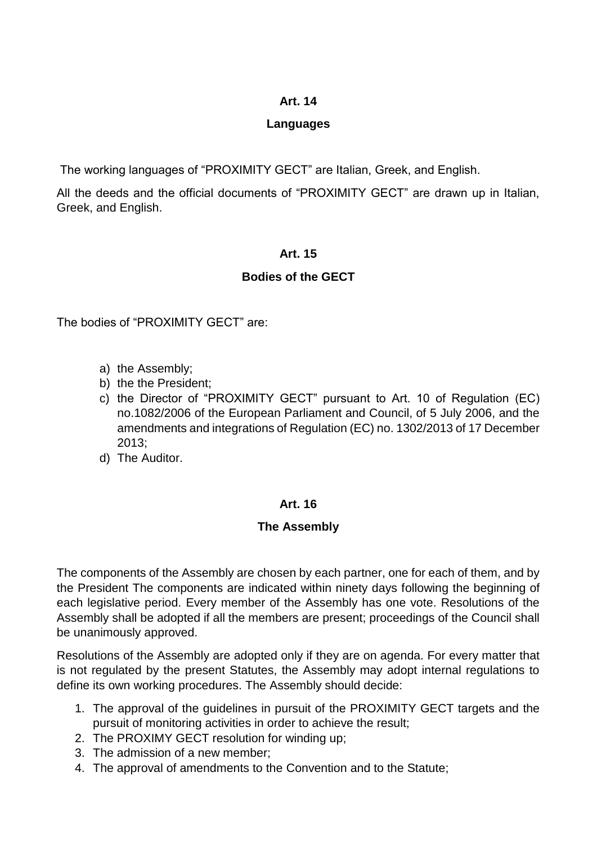### **Languages**

The working languages of "PROXIMITY GECT" are Italian, Greek, and English.

All the deeds and the official documents of "PROXIMITY GECT" are drawn up in Italian, Greek, and English.

# **Art. 15**

# **Bodies of the GECT**

The bodies of "PROXIMITY GECT" are:

- a) the Assembly;
- b) the the President;
- c) the Director of "PROXIMITY GECT" pursuant to Art. 10 of Regulation (EC) no.1082/2006 of the European Parliament and Council, of 5 July 2006, and the amendments and integrations of Regulation (EC) no. 1302/2013 of 17 December 2013;
- d) The Auditor.

# **Art. 16**

# **The Assembly**

The components of the Assembly are chosen by each partner, one for each of them, and by the President The components are indicated within ninety days following the beginning of each legislative period. Every member of the Assembly has one vote. Resolutions of the Assembly shall be adopted if all the members are present; proceedings of the Council shall be unanimously approved.

Resolutions of the Assembly are adopted only if they are on agenda. For every matter that is not regulated by the present Statutes, the Assembly may adopt internal regulations to define its own working procedures. The Assembly should decide:

- 1. The approval of the guidelines in pursuit of the PROXIMITY GECT targets and the pursuit of monitoring activities in order to achieve the result;
- 2. The PROXIMY GECT resolution for winding up;
- 3. The admission of a new member;
- 4. The approval of amendments to the Convention and to the Statute;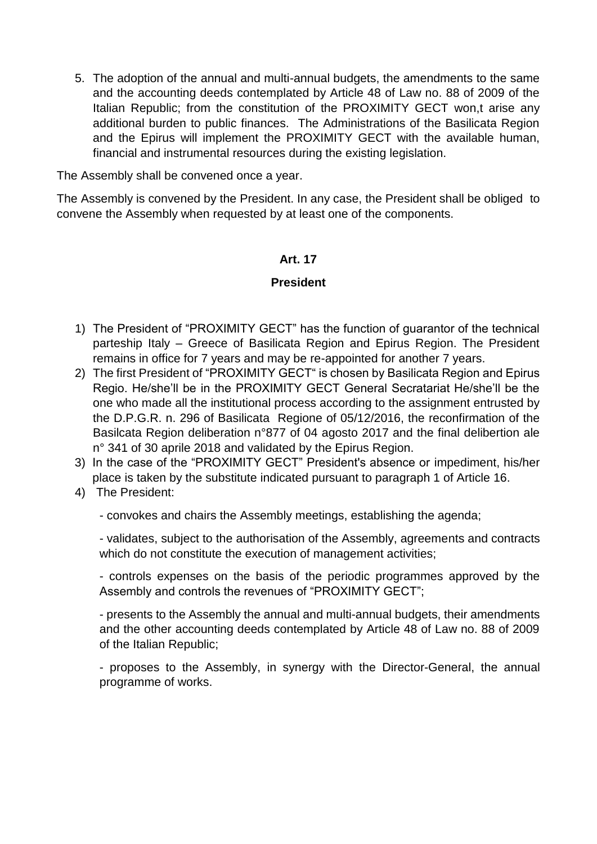5. The adoption of the annual and multi-annual budgets, the amendments to the same and the accounting deeds contemplated by Article 48 of Law no. 88 of 2009 of the Italian Republic; from the constitution of the PROXIMITY GECT won,t arise any additional burden to public finances. The Administrations of the Basilicata Region and the Epirus will implement the PROXIMITY GECT with the available human, financial and instrumental resources during the existing legislation.

The Assembly shall be convened once a year.

The Assembly is convened by the President. In any case, the President shall be obliged to convene the Assembly when requested by at least one of the components.

### **Art. 17**

#### **President**

- 1) The President of "PROXIMITY GECT" has the function of guarantor of the technical parteship Italy – Greece of Basilicata Region and Epirus Region. The President remains in office for 7 years and may be re-appointed for another 7 years.
- 2) The first President of "PROXIMITY GECT" is chosen by Basilicata Region and Epirus Regio. He/she'll be in the PROXIMITY GECT General Secratariat He/she'll be the one who made all the institutional process according to the assignment entrusted by the D.P.G.R. n. 296 of Basilicata Regione of 05/12/2016, the reconfirmation of the Basilcata Region deliberation n°877 of 04 agosto 2017 and the final delibertion ale n° 341 of 30 aprile 2018 and validated by the Epirus Region.
- 3) In the case of the "PROXIMITY GECT" President's absence or impediment, his/her place is taken by the substitute indicated pursuant to paragraph 1 of Article 16.
- 4) The President:

- convokes and chairs the Assembly meetings, establishing the agenda;

- validates, subject to the authorisation of the Assembly, agreements and contracts which do not constitute the execution of management activities;

- controls expenses on the basis of the periodic programmes approved by the Assembly and controls the revenues of "PROXIMITY GECT";

- presents to the Assembly the annual and multi-annual budgets, their amendments and the other accounting deeds contemplated by Article 48 of Law no. 88 of 2009 of the Italian Republic;

- proposes to the Assembly, in synergy with the Director-General, the annual programme of works.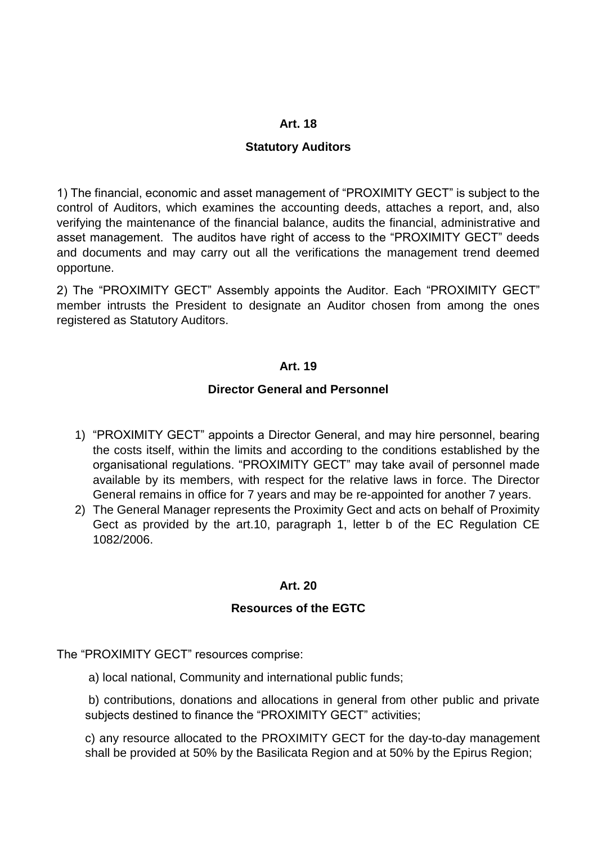#### **Statutory Auditors**

1) The financial, economic and asset management of "PROXIMITY GECT" is subject to the control of Auditors, which examines the accounting deeds, attaches a report, and, also verifying the maintenance of the financial balance, audits the financial, administrative and asset management. The auditos have right of access to the "PROXIMITY GECT" deeds and documents and may carry out all the verifications the management trend deemed opportune.

2) The "PROXIMITY GECT" Assembly appoints the Auditor. Each "PROXIMITY GECT" member intrusts the President to designate an Auditor chosen from among the ones registered as Statutory Auditors.

#### **Art. 19**

#### **Director General and Personnel**

- 1) "PROXIMITY GECT" appoints a Director General, and may hire personnel, bearing the costs itself, within the limits and according to the conditions established by the organisational regulations. "PROXIMITY GECT" may take avail of personnel made available by its members, with respect for the relative laws in force. The Director General remains in office for 7 years and may be re-appointed for another 7 years.
- 2) The General Manager represents the Proximity Gect and acts on behalf of Proximity Gect as provided by the art.10, paragraph 1, letter b of the EC Regulation CE 1082/2006.

### **Art. 20**

### **Resources of the EGTC**

The "PROXIMITY GECT" resources comprise:

a) local national, Community and international public funds;

b) contributions, donations and allocations in general from other public and private subjects destined to finance the "PROXIMITY GECT" activities;

c) any resource allocated to the PROXIMITY GECT for the day-to-day management shall be provided at 50% by the Basilicata Region and at 50% by the Epirus Region;